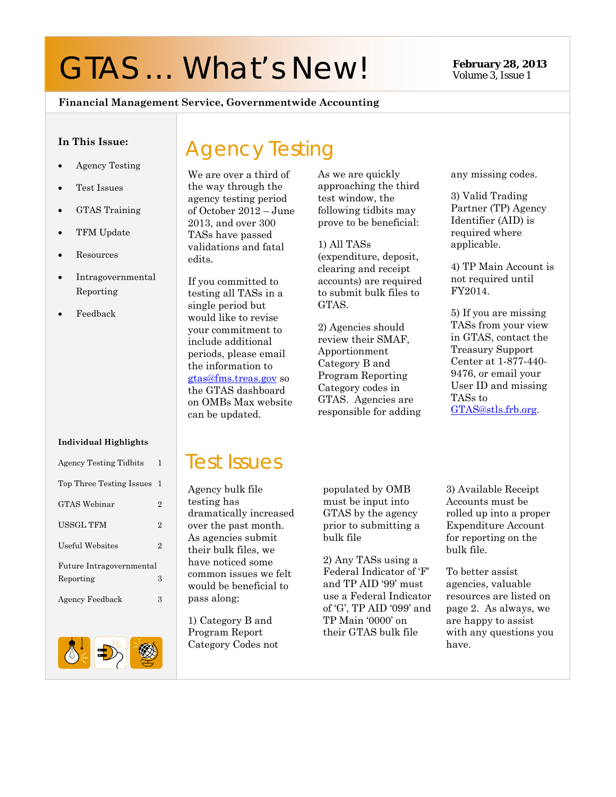# GTAS ... What's New! **February 28, 2013**

Volume 3, Issue 1

#### **Financial Management Service, Governmentwide Accounting**

#### **In This Issue:**

- Agency Testing
- Test Issues
- GTAS Training
- TFM Update
- Resources
- Intragovernmental Reporting
- Feedback

#### **Individual Highlights**

| Agency Testing Tidbits   | 1              |  |
|--------------------------|----------------|--|
| Top Three Testing Issues | 1              |  |
| <b>GTAS Webinar</b>      | $\overline{2}$ |  |
| USSGL TFM                | $\overline{2}$ |  |
| <b>Useful Websites</b>   | $\overline{2}$ |  |
| Future Intragovernmental |                |  |
| Reporting                | 3              |  |
| Agency Feedback          | 3              |  |
|                          |                |  |
| ı<br>т<br>. <i>.</i> .   |                |  |



# Agency Testing

We are over a third of the way through the agency testing period of October 2012 – June 2013, and over 300 TASs have passed validations and fatal edits.

If you committed to testing all TASs in a single period but would like to revise your commitment to include additional periods, please email the information to gtas@fms.treas.gov so the GTAS dashboard on OMBs Max website can be updated.

As we are quickly approaching the third test window, the following tidbits may prove to be beneficial:

1) All TASs (expenditure, deposit, clearing and receipt accounts) are required to submit bulk files to GTAS.

2) Agencies should review their SMAF, Apportionment Category B and Program Reporting Category codes in GTAS. Agencies are responsible for adding any missing codes.

3) Valid Trading Partner (TP) Agency Identifier (AID) is required where applicable.

4) TP Main Account is not required until FY2014.

5) If you are missing TASs from your view in GTAS, contact the Treasury Support Center at 1-877-440- 9476, or email your User ID and missing TASs to GTAS@stls.frb.org.

### Test Issues

Agency bulk file testing has dramatically increased over the past month. As agencies submit their bulk files, we have noticed some common issues we felt would be beneficial to pass along:

1) Category B and Program Report Category Codes not populated by OMB must be input into GTAS by the agency prior to submitting a bulk file

2) Any TASs using a Federal Indicator of 'F' and TP AID '99' must use a Federal Indicator of 'G', TP AID '099' and TP Main '0000' on their GTAS bulk file

3) Available Receipt Accounts must be rolled up into a proper Expenditure Account for reporting on the bulk file.

To better assist agencies, valuable resources are listed on page 2. As always, we are happy to assist with any questions you have.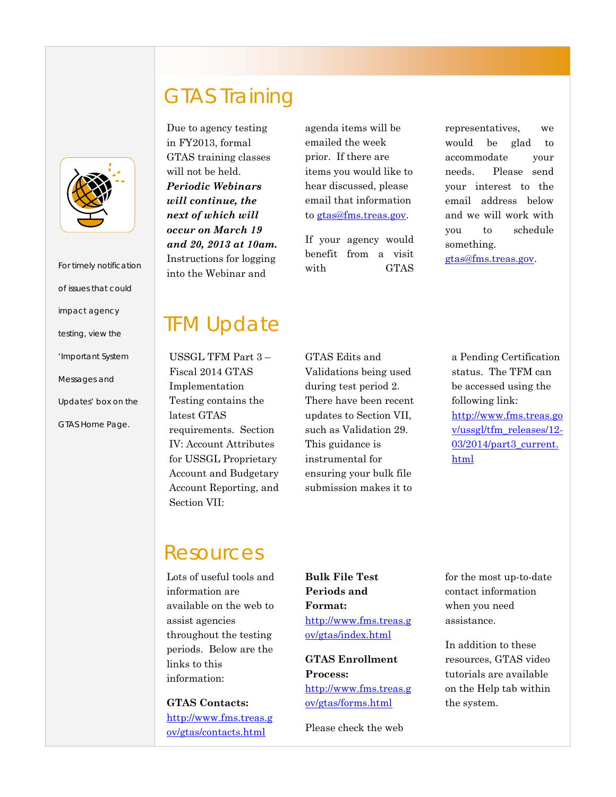

| For timely notification |
|-------------------------|
| of issues that could    |
| <i>impact agency</i>    |
| testing, view the       |
| 'Important System       |
| Messages and            |
| Updates' box on the     |
| GTAS Home Page.         |
|                         |
|                         |

## GTAS Training

Due to agency testing in FY2013, formal GTAS training classes will not be held. *Periodic Webinars will continue, the next of which will occur on March 19 and 20, 2013 at 10am.* Instructions for logging into the Webinar and

agenda items will be emailed the week prior. If there are items you would like to hear discussed, please email that information to gtas@fms.treas.gov.

If your agency would benefit from a visit with GTAS

representatives, we would be glad to accommodate your needs. Please send your interest to the email address below and we will work with you to schedule something.

gtas@fms.treas.gov.

## **TFM Update**

 Fiscal 2014 GTAS USSGL TFM Part 3 – Implementation Testing contains the latest GTAS requirements. Section IV: Account Attributes for USSGL Proprietary Account and Budgetary Account Reporting, and Section VII:

 There have been recent GTAS Edits and Validations being used during test period 2. updates to Section VII, such as Validation 29. This guidance is instrumental for ensuring your bulk file submission makes it to

a Pending Certification status. The TFM can be accessed using the following link: http://www.fms.treas.go v/ussgl/tfm\_releases/12- 03/2014/part3\_current. html

### Resources

Lots of useful tools and information are available on the web to assist agencies throughout the testing periods. Below are the links to this information:

**GTAS Contacts:** http://www.fms.treas.g ov/gtas/contacts.html

**Bulk File Test Periods and Format:**  http://www.fms.treas.g ov/gtas/index.html

**GTAS Enrollment Process:** http://www.fms.treas.g ov/gtas/forms.html

Please check the web

for the most up-to-date contact information when you need assistance.

In addition to these resources, GTAS video tutorials are available on the Help tab within the system.